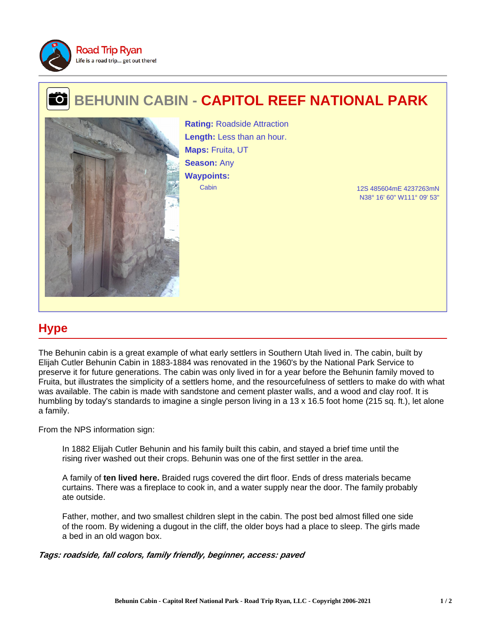

## **BEHUNIN CABIN - CAPITOL REEF NATIONAL PARK** 的



Cabin 12S 485604mE 4237263mN **Rating:** Roadside Attraction **Length:** Less than an hour. **Maps:** Fruita, UT **Season:** Any **Waypoints:**

N38° 16' 60" W111° 09' 53"

## **Hype**

The Behunin cabin is a great example of what early settlers in Southern Utah lived in. The cabin, built by Elijah Cutler Behunin Cabin in 1883-1884 was renovated in the 1960's by the National Park Service to preserve it for future generations. The cabin was only lived in for a year before the Behunin family moved to Fruita, but illustrates the simplicity of a settlers home, and the resourcefulness of settlers to make do with what was available. The cabin is made with sandstone and cement plaster walls, and a wood and clay roof. It is humbling by today's standards to imagine a single person living in a 13 x 16.5 foot home (215 sq. ft.), let alone a family.

From the NPS information sign:

In 1882 Elijah Cutler Behunin and his family built this cabin, and stayed a brief time until the rising river washed out their crops. Behunin was one of the first settler in the area.

A family of **ten lived here.** Braided rugs covered the dirt floor. Ends of dress materials became curtains. There was a fireplace to cook in, and a water supply near the door. The family probably ate outside.

Father, mother, and two smallest children slept in the cabin. The post bed almost filled one side of the room. By widening a dugout in the cliff, the older boys had a place to sleep. The girls made a bed in an old wagon box.

**Tags: roadside, fall colors, family friendly, beginner, access: paved**